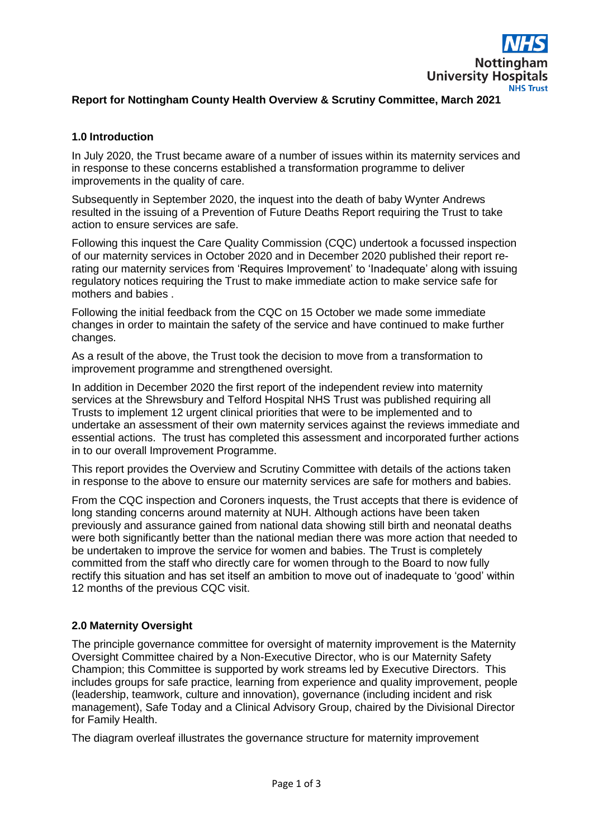

### **Report for Nottingham County Health Overview & Scrutiny Committee, March 2021**

### **1.0 Introduction**

In July 2020, the Trust became aware of a number of issues within its maternity services and in response to these concerns established a transformation programme to deliver improvements in the quality of care.

Subsequently in September 2020, the inquest into the death of baby Wynter Andrews resulted in the issuing of a Prevention of Future Deaths Report requiring the Trust to take action to ensure services are safe.

Following this inquest the Care Quality Commission (CQC) undertook a focussed inspection of our maternity services in October 2020 and in December 2020 published their report rerating our maternity services from 'Requires Improvement' to 'Inadequate' along with issuing regulatory notices requiring the Trust to make immediate action to make service safe for mothers and babies .

Following the initial feedback from the CQC on 15 October we made some immediate changes in order to maintain the safety of the service and have continued to make further changes.

As a result of the above, the Trust took the decision to move from a transformation to improvement programme and strengthened oversight.

In addition in December 2020 the first report of the independent review into maternity services at the Shrewsbury and Telford Hospital NHS Trust was published requiring all Trusts to implement 12 urgent clinical priorities that were to be implemented and to undertake an assessment of their own maternity services against the reviews immediate and essential actions. The trust has completed this assessment and incorporated further actions in to our overall Improvement Programme.

This report provides the Overview and Scrutiny Committee with details of the actions taken in response to the above to ensure our maternity services are safe for mothers and babies.

From the CQC inspection and Coroners inquests, the Trust accepts that there is evidence of long standing concerns around maternity at NUH. Although actions have been taken previously and assurance gained from national data showing still birth and neonatal deaths were both significantly better than the national median there was more action that needed to be undertaken to improve the service for women and babies. The Trust is completely committed from the staff who directly care for women through to the Board to now fully rectify this situation and has set itself an ambition to move out of inadequate to 'good' within 12 months of the previous CQC visit.

#### **2.0 Maternity Oversight**

The principle governance committee for oversight of maternity improvement is the Maternity Oversight Committee chaired by a Non-Executive Director, who is our Maternity Safety Champion; this Committee is supported by work streams led by Executive Directors. This includes groups for safe practice, learning from experience and quality improvement, people (leadership, teamwork, culture and innovation), governance (including incident and risk management), Safe Today and a Clinical Advisory Group, chaired by the Divisional Director for Family Health.

The diagram overleaf illustrates the governance structure for maternity improvement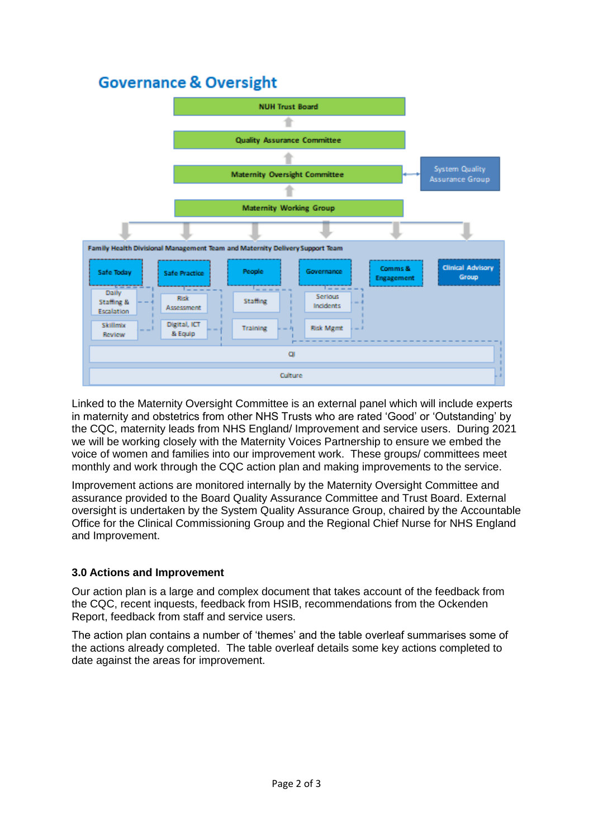# **Governance & Oversight**



Linked to the Maternity Oversight Committee is an external panel which will include experts in maternity and obstetrics from other NHS Trusts who are rated 'Good' or 'Outstanding' by the CQC, maternity leads from NHS England/ Improvement and service users. During 2021 we will be working closely with the Maternity Voices Partnership to ensure we embed the voice of women and families into our improvement work. These groups/ committees meet monthly and work through the CQC action plan and making improvements to the service.

Improvement actions are monitored internally by the Maternity Oversight Committee and assurance provided to the Board Quality Assurance Committee and Trust Board. External oversight is undertaken by the System Quality Assurance Group, chaired by the Accountable Office for the Clinical Commissioning Group and the Regional Chief Nurse for NHS England and Improvement.

### **3.0 Actions and Improvement**

Our action plan is a large and complex document that takes account of the feedback from the CQC, recent inquests, feedback from HSIB, recommendations from the Ockenden Report, feedback from staff and service users.

The action plan contains a number of 'themes' and the table overleaf summarises some of the actions already completed. The table overleaf details some key actions completed to date against the areas for improvement.